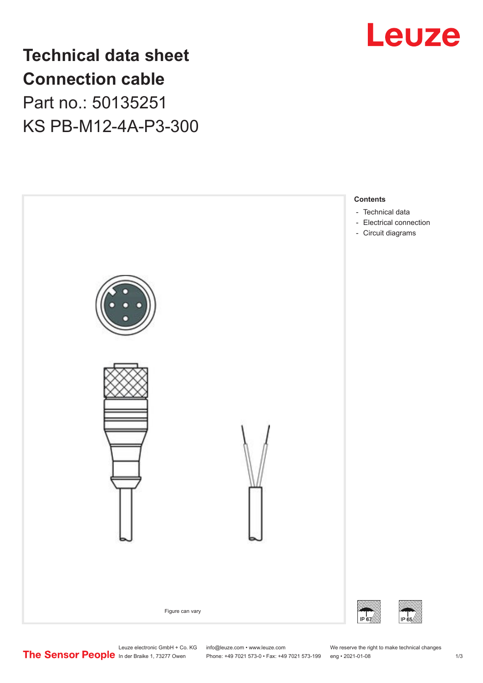

**Technical data sheet Connection cable** Part no.: 50135251 KS PB-M12-4A-P3-300



Leuze electronic GmbH + Co. KG info@leuze.com • www.leuze.com We reserve the right to make technical changes<br>
The Sensor People in der Braike 1, 73277 Owen Phone: +49 7021 573-0 • Fax: +49 7021 573-199 eng • 2021-01-08

Phone: +49 7021 573-0 • Fax: +49 7021 573-199 eng • 2021-01-08 1 2021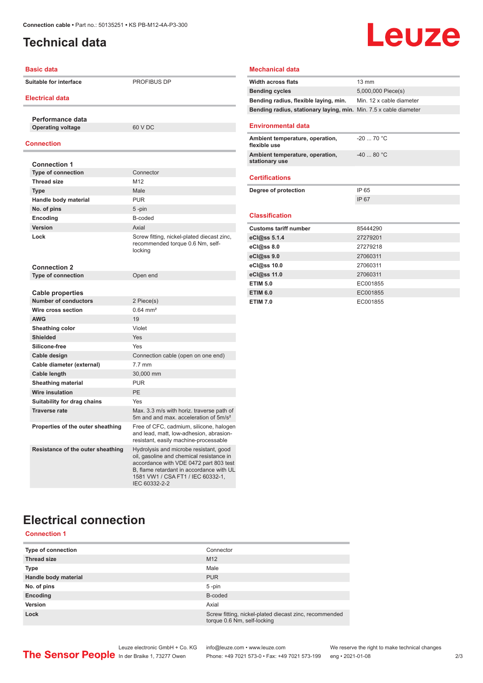## <span id="page-1-0"></span>**Technical data**

## Leuze

| <b>Basic data</b>                 |                                                                                                                                                                                                                                | <b>Mechanical data</b>                                       |                      |
|-----------------------------------|--------------------------------------------------------------------------------------------------------------------------------------------------------------------------------------------------------------------------------|--------------------------------------------------------------|----------------------|
| <b>Suitable for interface</b>     | PROFIBUS DP                                                                                                                                                                                                                    | <b>Width across flats</b>                                    | $13 \text{ mm}$      |
|                                   |                                                                                                                                                                                                                                | <b>Bending cycles</b>                                        | 5,000,000 Piece(s)   |
| <b>Electrical data</b>            |                                                                                                                                                                                                                                | Bending radius, flexible laying, min.                        | Min. 12 x cable diar |
|                                   |                                                                                                                                                                                                                                | Bending radius, stationary laying, min. Min. 7.5 x cable dia |                      |
| Performance data                  |                                                                                                                                                                                                                                |                                                              |                      |
| <b>Operating voltage</b>          | 60 V DC                                                                                                                                                                                                                        | <b>Environmental data</b>                                    |                      |
| <b>Connection</b>                 |                                                                                                                                                                                                                                | Ambient temperature, operation,<br>flexible use              | $-20$ 70 °C          |
| <b>Connection 1</b>               |                                                                                                                                                                                                                                | Ambient temperature, operation,<br>stationary use            | $-4080 °C$           |
| <b>Type of connection</b>         | Connector                                                                                                                                                                                                                      |                                                              |                      |
| <b>Thread size</b>                | M12                                                                                                                                                                                                                            | <b>Certifications</b>                                        |                      |
| <b>Type</b>                       | Male                                                                                                                                                                                                                           | Degree of protection                                         | IP 65                |
| Handle body material              | <b>PUR</b>                                                                                                                                                                                                                     |                                                              | IP 67                |
| No. of pins                       | 5-pin                                                                                                                                                                                                                          |                                                              |                      |
| Encoding                          | B-coded                                                                                                                                                                                                                        | <b>Classification</b>                                        |                      |
| Version                           | Axial                                                                                                                                                                                                                          | <b>Customs tariff number</b>                                 | 85444290             |
| Lock                              | Screw fitting, nickel-plated diecast zinc,<br>recommended torque 0.6 Nm, self-<br>locking                                                                                                                                      | eCl@ss 5.1.4                                                 | 27279201             |
|                                   |                                                                                                                                                                                                                                | eCl@ss 8.0                                                   | 27279218             |
|                                   |                                                                                                                                                                                                                                | eCl@ss 9.0                                                   | 27060311             |
| <b>Connection 2</b>               |                                                                                                                                                                                                                                | eCl@ss 10.0                                                  | 27060311             |
| <b>Type of connection</b>         | Open end                                                                                                                                                                                                                       | eCl@ss 11.0                                                  | 27060311             |
|                                   |                                                                                                                                                                                                                                | <b>ETIM 5.0</b>                                              | EC001855             |
| Cable properties                  |                                                                                                                                                                                                                                | <b>ETIM 6.0</b>                                              | EC001855             |
| <b>Number of conductors</b>       | 2 Piece(s)                                                                                                                                                                                                                     | <b>ETIM 7.0</b>                                              | EC001855             |
| Wire cross section                | $0.64$ mm <sup>2</sup>                                                                                                                                                                                                         |                                                              |                      |
| <b>AWG</b>                        | 19                                                                                                                                                                                                                             |                                                              |                      |
| Sheathing color                   | Violet                                                                                                                                                                                                                         |                                                              |                      |
| <b>Shielded</b>                   | Yes                                                                                                                                                                                                                            |                                                              |                      |
| Silicone-free                     | Yes                                                                                                                                                                                                                            |                                                              |                      |
| Cable design                      | Connection cable (open on one end)                                                                                                                                                                                             |                                                              |                      |
| Cable diameter (external)         | $7.7$ mm                                                                                                                                                                                                                       |                                                              |                      |
| Cable length                      | 30,000 mm                                                                                                                                                                                                                      |                                                              |                      |
| <b>Sheathing material</b>         | <b>PUR</b>                                                                                                                                                                                                                     |                                                              |                      |
| <b>Wire insulation</b>            | PE                                                                                                                                                                                                                             |                                                              |                      |
| Suitability for drag chains       | Yes                                                                                                                                                                                                                            |                                                              |                      |
| <b>Traverse rate</b>              | Max. 3.3 m/s with horiz. traverse path of<br>5m and and max. acceleration of 5m/s <sup>2</sup>                                                                                                                                 |                                                              |                      |
| Properties of the outer sheathing | Free of CFC, cadmium, silicone, halogen<br>and lead, matt, low-adhesion, abrasion-<br>resistant, easily machine-processable                                                                                                    |                                                              |                      |
| Resistance of the outer sheathing | Hydrolysis and microbe resistant, good<br>oil, gasoline and chemical resistance in<br>accordance with VDE 0472 part 803 test<br>B, flame retardant in accordance with UL<br>1581 VW1 / CSA FT1 / IEC 60332-1,<br>IEC 60332-2-2 |                                                              |                      |

#### **Bending radius, flexible laying, min.** Min. 12 x cable diameter **Bending radius, stationary laying, min.** Min. 7.5 x cable diameter **Environmental data Ambient temperature, operation, flexible use** -20 ... 70 °C **Ambient temperature, operation, stationary use** -40 ... 80 °C **Certifications Degree of protection** IP 65 IP 67 **Classification Communist Customs tariff number** 85444290 **eCl@ss 5.1.4** 27279201 **eCl@ss 8.0** 27279218 **eCl@ss 9.0** 27060311 **eCl@ss 10.0** 27060311 **eCl@ss 11.0** 27060311 **FIM 5.0** EC001855 **EXAMPLE 2008 12:00 FEC001855 FIM 7.0** EC001855

## **Electrical connection**

#### **Connection 1**

| <b>Type of connection</b> | Connector                                                                             |
|---------------------------|---------------------------------------------------------------------------------------|
| <b>Thread size</b>        | M <sub>12</sub>                                                                       |
| <b>Type</b>               | Male                                                                                  |
| Handle body material      | <b>PUR</b>                                                                            |
| No. of pins               | $5$ -pin                                                                              |
| Encoding                  | B-coded                                                                               |
| Version                   | Axial                                                                                 |
| Lock                      | Screw fitting, nickel-plated diecast zinc, recommended<br>torque 0.6 Nm, self-locking |

Leuze electronic GmbH + Co. KG info@leuze.com • www.leuze.com We reserve the right to make technical changes<br>
The Sensor People in der Braike 1, 73277 Owen Phone: +49 7021 573-0 • Fax: +49 7021 573-199 eng • 2021-01-08

Phone: +49 7021 573-0 • Fax: +49 7021 573-199 eng • 2021-01-08 2 2 /3